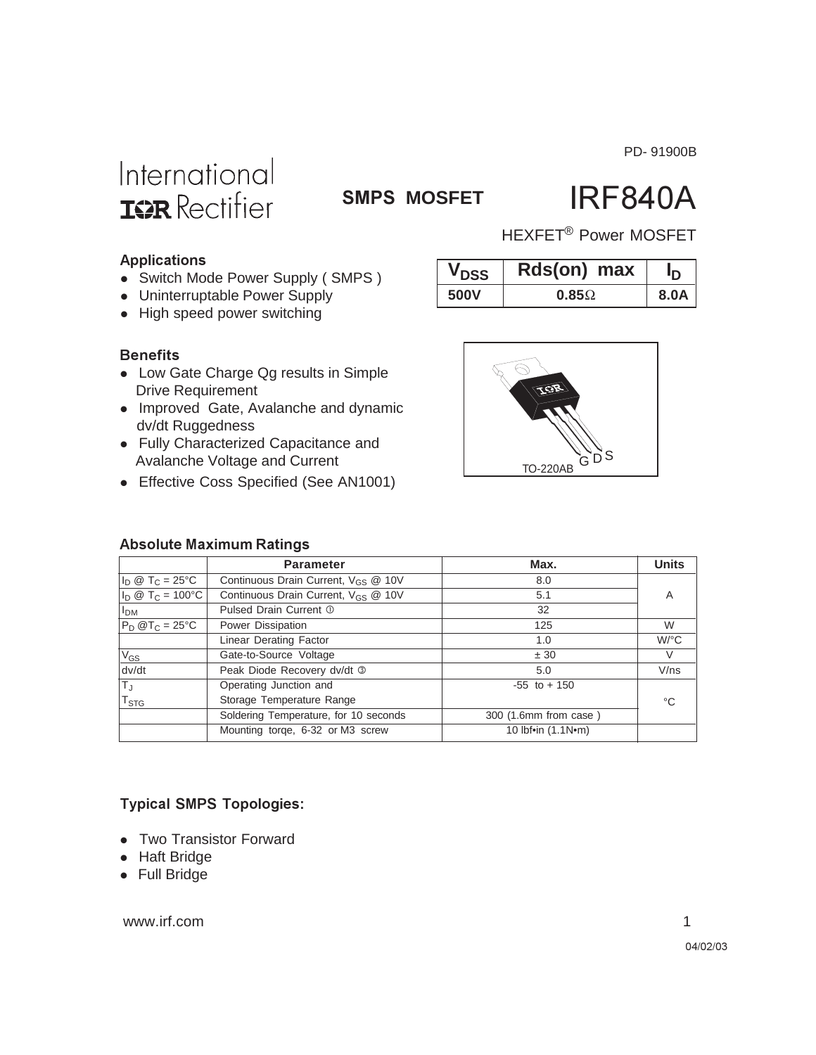PD- 91900B

# International **ISR** Rectifier

### **SMPS MOSFET**

# **IRF840A**

HEXFET<sup>®</sup> Power MOSFET

#### **Applications**

- Switch Mode Power Supply (SMPS)
- Uninterruptable Power Supply
- High speed power switching

#### **Benefits**

- Low Gate Charge Qg results in Simple Drive Requirement
- Improved Gate, Avalanche and dynamic dv/dt Ruggedness
- Fully Characterized Capacitance and Avalanche Voltage
- Effective Coss Spe

#### **Absolute Maximum Ratings**

| . Tany Undrautungua Uapabilianus and<br>Avalanche Voltage and Current<br>• Effective Coss Specified (See AN1001) |                                                     | <b>TO-220AB</b> |                      |
|------------------------------------------------------------------------------------------------------------------|-----------------------------------------------------|-----------------|----------------------|
|                                                                                                                  | <b>Absolute Maximum Ratings</b><br><b>Parameter</b> | Max.            | <b>Units</b>         |
|                                                                                                                  |                                                     |                 |                      |
| $I_D \otimes T_C = 25$ °C                                                                                        | Continuous Drain Current, V <sub>GS</sub> @ 10V     | 8.0             |                      |
| $ I_D \otimes T_C = 100^{\circ}C $                                                                               | Continuous Drain Current, V <sub>GS</sub> @ 10V     | 5.1             | A                    |
| $ I_{DM} $                                                                                                       | Pulsed Drain Current 1                              | 32              |                      |
| $P_D @T_C = 25°C$                                                                                                | Power Dissipation                                   | 125             | W                    |
|                                                                                                                  | Linear Derating Factor                              | 1.0             | $W$ <sup>o</sup> $C$ |

 $V_{GS}$  Gate-to-Source Voltage  $\pm 30$   $V$ dv/dt Peak Diode Recovery dv/dt 3 5.0 5.0 V/ns

Soldering Temperature, for 10 seconds 300 (1.6mm from case )

Mounting torqe, 6-32 or M3 screw 10 lbf•in (1.1N•m)

T<sub>J</sub> Dperating Junction and Figure 150 to + 150

### **Typical SMPS Topologies:**

T<sub>STG</sub> | Storage Temperature Range

- Two Transistor Forward
- Haft Bridge
- Full Bridge

www.irf.com 1

**V**<sub>DSS</sub> **Rds(on)** max  $I_{\text{D}}$ **500V 0.85**Ω **8.0A**

°C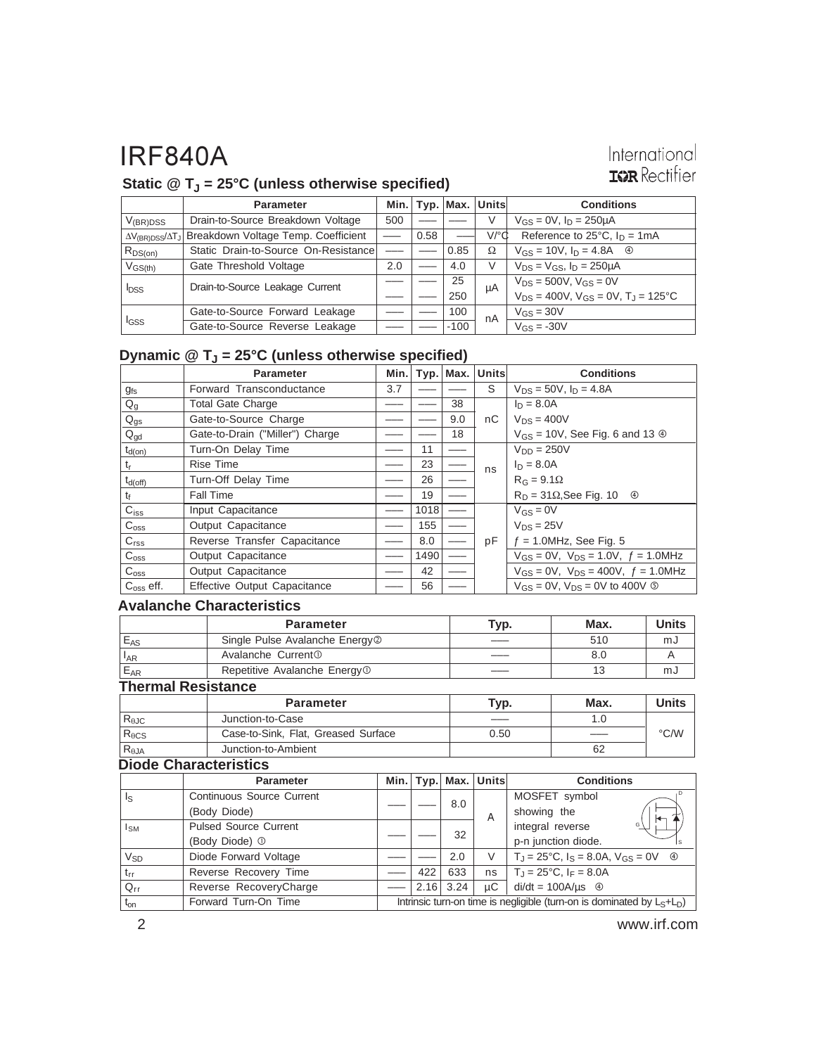### International **IGR** Rectifier

### Static @ T<sub>J</sub> = 25°C (unless otherwise specified)

|                         | <b>Parameter</b>                                                           |     |      | Min. $ $ Typ. $ $ Max. $ $ | Units                | <b>Conditions</b>                                |
|-------------------------|----------------------------------------------------------------------------|-----|------|----------------------------|----------------------|--------------------------------------------------|
| $V_{(BR)DSS}$           | Drain-to-Source Breakdown Voltage                                          | 500 |      |                            | V                    | $V_{GS} = 0V$ , $I_D = 250 \mu A$                |
|                         | ∆V <sub>(BR)DSS</sub> /∆T <sub>J</sub> Breakdown Voltage Temp. Coefficient |     | 0.58 |                            | $V$ <sup>o</sup> $d$ | Reference to $25^{\circ}$ C, $I_D = 1 \text{mA}$ |
| $R_{DS(on)}$            | Static Drain-to-Source On-Resistance                                       |     |      | 0.85                       | Ω                    | $V_{GS} = 10V$ , $I_D = 4.8A$ 4                  |
| $V_{GS(th)}$            | Gate Threshold Voltage                                                     | 2.0 |      | 4.0                        | V                    | $V_{DS} = V_{GS}$ , $I_D = 250 \mu A$            |
| <b>I</b> <sub>DSS</sub> | Drain-to-Source Leakage Current                                            |     |      | 25                         | μA                   | $V_{DS} = 500V$ , $V_{GS} = 0V$                  |
|                         |                                                                            |     |      | 250                        |                      | $V_{DS} = 400V$ , $V_{GS} = 0V$ , $T_J = 125$ °C |
| <sup>I</sup> GSS        | Gate-to-Source Forward Leakage                                             |     |      | 100                        | nA                   | $V_{GS} = 30V$                                   |
|                         | Gate-to-Source Reverse Leakage                                             |     |      | $-100$                     |                      | $V_{GS} = -30V$                                  |

### **Dynamic @ TJ = 25°C (unless otherwise specified)**

|                  | <b>Parameter</b>                | Min. |      |     | Typ.   Max.   Units | <b>Conditions</b>                                   |
|------------------|---------------------------------|------|------|-----|---------------------|-----------------------------------------------------|
| $g_{fs}$         | Forward Transconductance        | 3.7  |      |     | S                   | $V_{DS} = 50V$ , $I_D = 4.8A$                       |
| $Q_g$            | <b>Total Gate Charge</b>        |      |      | 38  |                     | $I_D = 8.0A$                                        |
| $Q_{gs}$         | Gate-to-Source Charge           |      |      | 9.0 | nC                  | $V_{DS}$ = 400V                                     |
| $Q_{\text{gd}}$  | Gate-to-Drain ("Miller") Charge |      |      | 18  |                     | $V_{GS}$ = 10V, See Fig. 6 and 13 $\circledcirc$    |
| $t_{d(on)}$      | Turn-On Delay Time              |      | 11   |     |                     | $V_{DD} = 250V$                                     |
| t,               | <b>Rise Time</b>                |      | 23   |     | ns                  | $I_D = 8.0A$                                        |
| $t_{d(off)}$     | Turn-Off Delay Time             |      | 26   |     |                     | $R_G = 9.1\Omega$                                   |
| t <sub>f</sub>   | <b>Fall Time</b>                |      | 19   |     |                     | $R_D = 31\Omega$ , See Fig. 10 $\oplus$             |
| $C_{iss}$        | Input Capacitance               |      | 1018 |     |                     | $V_{GS} = 0V$                                       |
| $C_{\rm oss}$    | Output Capacitance              |      | 155  |     |                     | $V_{DS} = 25V$                                      |
| C <sub>rss</sub> | Reverse Transfer Capacitance    |      | 8.0  |     | pF                  | $f = 1.0$ MHz, See Fig. 5                           |
| C <sub>oss</sub> | Output Capacitance              |      | 1490 |     |                     | $V_{GS} = 0V$ , $V_{DS} = 1.0V$ , $f = 1.0MHz$      |
| C <sub>oss</sub> | Output Capacitance              |      | 42   |     |                     | $V_{GS} = 0V$ , $V_{DS} = 400V$ , $f = 1.0 MHz$     |
| $Coss$ eff.      | Effective Output Capacitance    |      | 56   |     |                     | $V_{GS}$ = 0V, $V_{DS}$ = 0V to 400V $\circledcirc$ |

#### **Avalanche Characteristics**

|                            | <b>Parameter</b>                           | Typ. | Max. | Units |  |  |
|----------------------------|--------------------------------------------|------|------|-------|--|--|
| $E_{AS}$                   | Single Pulse Avalanche Energy <sup>2</sup> |      | 510  | mJ    |  |  |
| $\mathsf{I}_{\mathsf{AR}}$ | Avalanche Current <sup>①</sup>             |      | 8.0  |       |  |  |
| $E_{AR}$                   | Repetitive Avalanche Energy <sup>1</sup>   |      | 13   | mJ    |  |  |
| <b>Thermal Resistance</b>  |                                            |      |      |       |  |  |

|                 | <b>Parameter</b>                    | Typ. | Max. | <b>Units</b>       |
|-----------------|-------------------------------------|------|------|--------------------|
| $R_{\theta$ JC  | Junction-to-Case                    |      |      |                    |
| $R_{\theta CS}$ | Case-to-Sink, Flat, Greased Surface | 0.50 |      | $\rm ^{\circ}$ C/W |
| $R_{\theta$ JA  | Junction-to-Ambient                 |      | 62   |                    |

#### **Diode Characteristics**

|                         | <b>Parameter</b>                 |                                                                           |     |             | Min.   Typ.   Max.   Units | <b>Conditions</b>                                                            |  |
|-------------------------|----------------------------------|---------------------------------------------------------------------------|-----|-------------|----------------------------|------------------------------------------------------------------------------|--|
| $\mathsf{I}_\mathsf{S}$ | <b>Continuous Source Current</b> |                                                                           |     | 8.0         |                            | MOSFET symbol                                                                |  |
|                         | (Body Diode)                     |                                                                           |     |             | A                          | showing the                                                                  |  |
| $I_{SM}$                | <b>Pulsed Source Current</b>     |                                                                           |     |             | 32                         | integral reverse<br>G١                                                       |  |
|                         | (Body Diode) <sup>1</sup>        |                                                                           |     |             |                            | p-n junction diode.                                                          |  |
| $V_{SD}$                | Diode Forward Voltage            |                                                                           |     | 2.0         | V                          | $T_{\rm J} = 25^{\circ}$ C, $I_{\rm S} = 8.0$ A, $V_{\rm GS} = 0$ V $\oplus$ |  |
| $t_{rr}$                | Reverse Recovery Time            |                                                                           | 422 | 633         | ns                         | $T_J = 25^{\circ}C$ , $I_F = 8.0A$                                           |  |
| $Q_{rr}$                | Reverse RecoveryCharge           |                                                                           |     | $2.16$ 3.24 | иC                         | $di/dt = 100A/\mu s$ 4                                                       |  |
| $t_{on}$                | Forward Turn-On Time             | Intrinsic turn-on time is negligible (turn-on is dominated by $L_S+L_D$ ) |     |             |                            |                                                                              |  |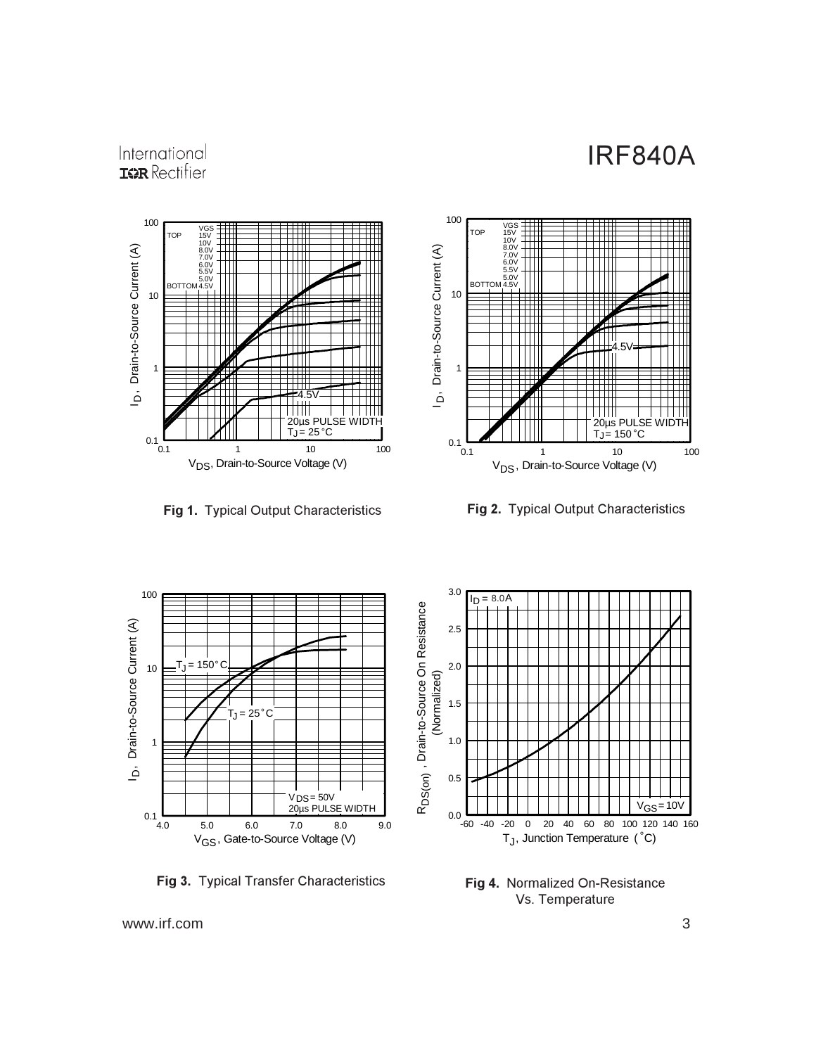### International **ISPR** Rectifier



**Fig 1.** Typical Output Characteristics **Fi** 



g 2. Typical Output Characteristics



Fig 3. Typical Transfer Characteristics



Fig 4. Normalized On-Resistance Vs. Temperature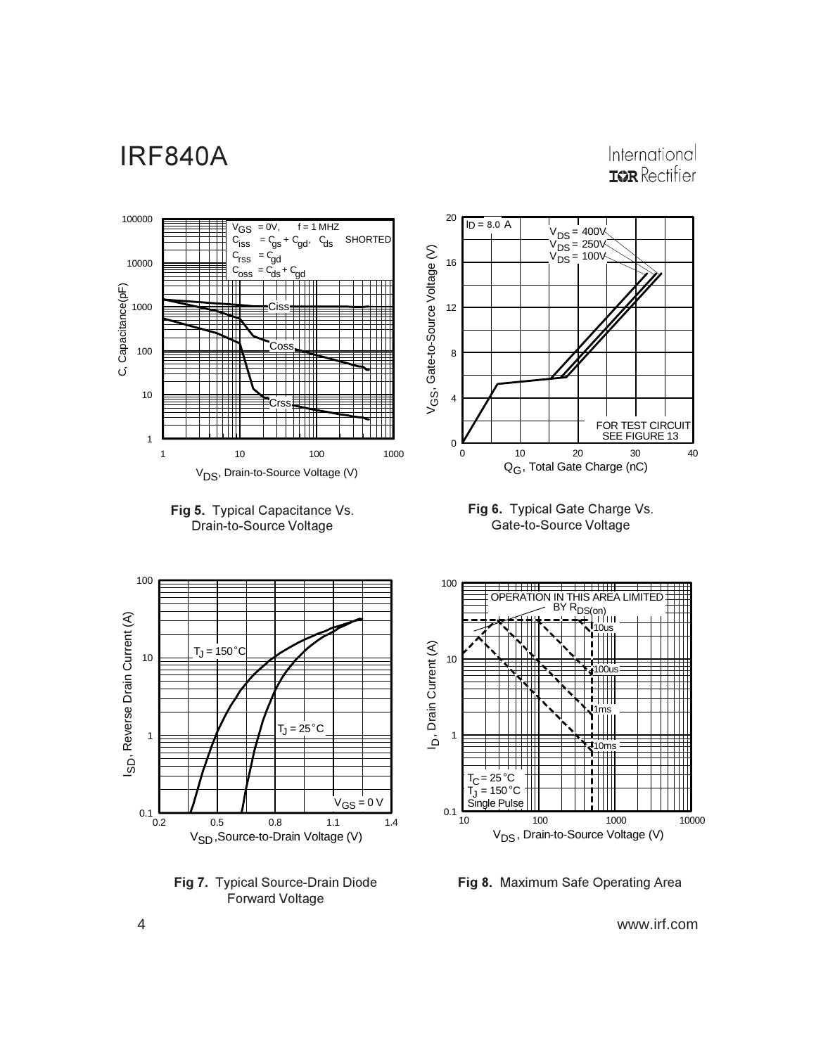International **IGR** Rectifier



Fig 8. Maximum Safe Operating Area

4 www.irf.com

Fig 7. Typical Source-Drain Diode Forward Voltage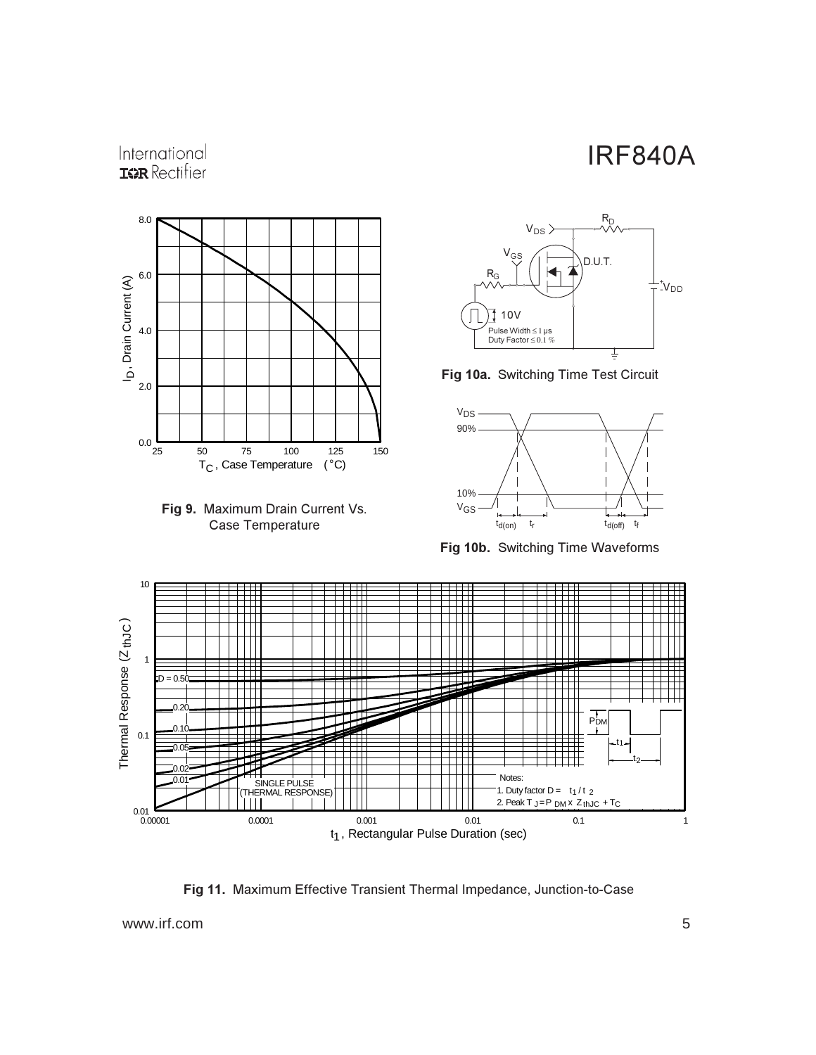### International **ISPR** Rectifier







Fig 10a. Switching Time Test Circuit



Fig 10b. Switching Time Waveforms



Fig 11. Maximum Effective Transient Thermal Impedance, Junction-to-Case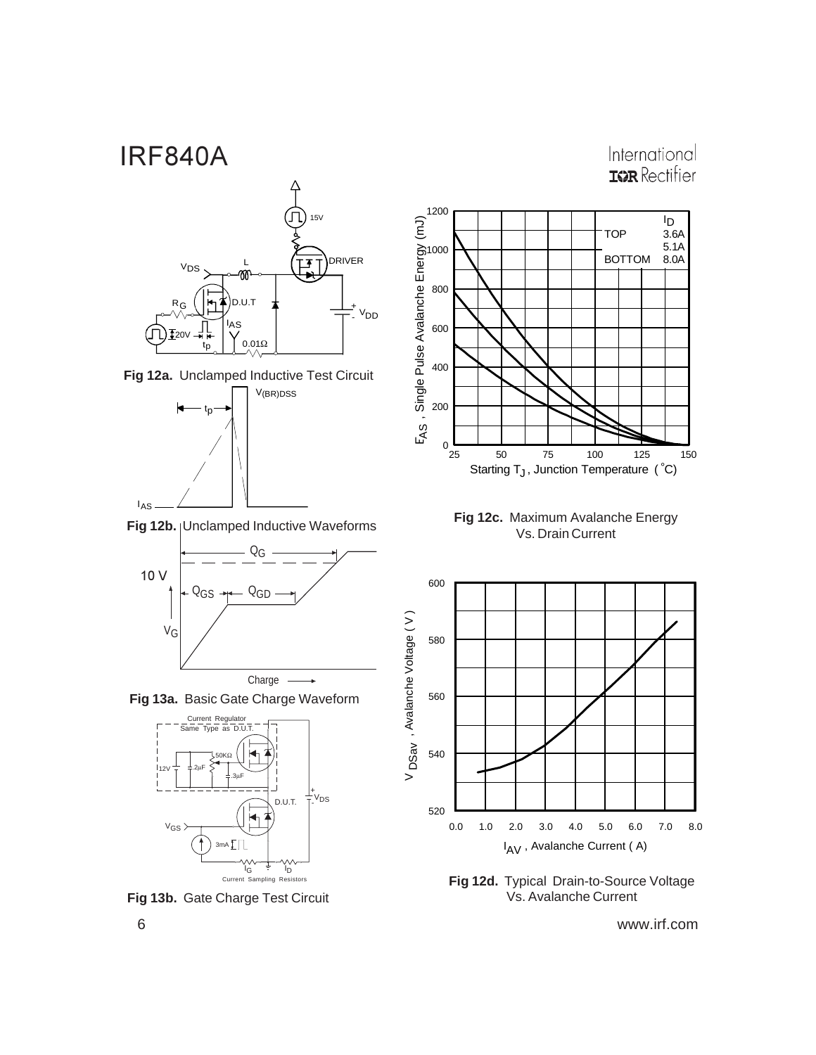International **IGR** Rectifier









**Fig 13a.** Basic Gate Charge Waveform



**Fig 13b.** Gate Charge Test Circuit







**Fig 12d.** Typical Drain-to-Source Voltage Vs. Avalanche Current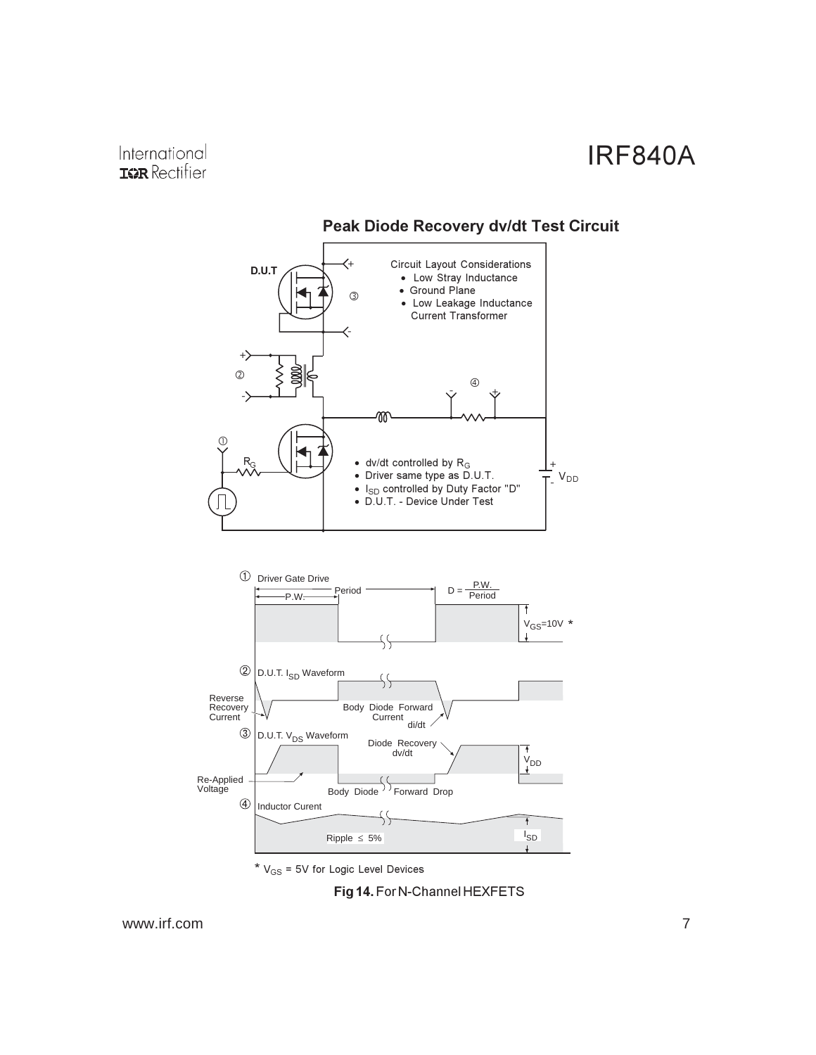

### **Peak Diode Recovery dv/dt Test Circuit**

\*  $V_{GS}$  = 5V for Logic Level Devices

Fig 14. For N-Channel HEXFETS